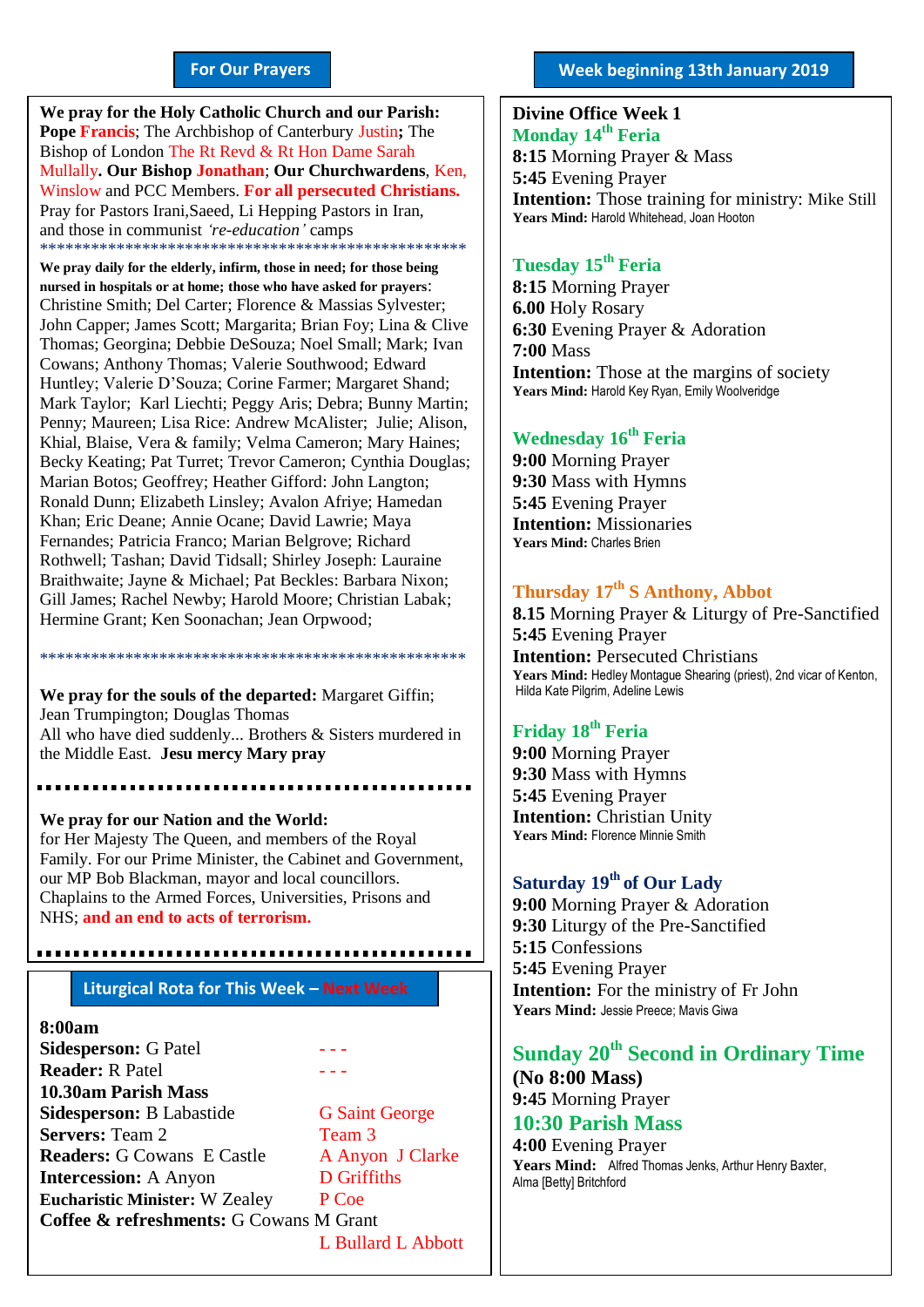#### **For Our Prayers**

arted Mullally**. Our Bishop Jonathan**; **Our Churchwardens**, Ken, **We pray for the Holy Catholic Church and our Parish: Pope Francis**; The Archbishop of Canterbury Justin**;** The Bishop of London The Rt Revd & Rt Hon Dame Sarah Winslow and PCC Members. **For all persecuted Christians.** Pray for Pastors Irani,Saeed, Li Hepping Pastors in Iran, and those in communist *'re-education'* camps \*\*\*\*\*\*\*\*\*\*\*\*\*\*\*\*\*\*\*\*\*\*\*\*\*\*\*\*\*\*\*\*\*\*\*\*\*\*\*\*\*\*\*\*\*\*\*\*\*\*

**We pray daily for the elderly, infirm, those in need; for those being nursed in hospitals or at home; those who have asked for prayers**: Christine Smith; Del Carter; Florence & Massias Sylvester; John Capper; James Scott; Margarita; Brian Foy; Lina & Clive Thomas; Georgina; Debbie DeSouza; Noel Small; Mark; Ivan Cowans; Anthony Thomas; Valerie Southwood; Edward Huntley; Valerie D'Souza; Corine Farmer; Margaret Shand; Mark Taylor; Karl Liechti; Peggy Aris; Debra; Bunny Martin; Penny; Maureen; Lisa Rice: Andrew McAlister; Julie; Alison, Khial, Blaise, Vera & family; Velma Cameron; Mary Haines; Becky Keating; Pat Turret; Trevor Cameron; Cynthia Douglas; Marian Botos; Geoffrey; Heather Gifford: John Langton; Ronald Dunn; Elizabeth Linsley; Avalon Afriye; Hamedan Khan; Eric Deane; Annie Ocane; David Lawrie; Maya Fernandes; Patricia Franco; Marian Belgrove; Richard Rothwell; Tashan; David Tidsall; Shirley Joseph: Lauraine Braithwaite; Jayne & Michael; Pat Beckles: Barbara Nixon; Gill James; Rachel Newby; Harold Moore; Christian Labak; Hermine Grant; Ken Soonachan; Jean Orpwood;

**We pray for the souls of the departed:** Margaret Giffin; Jean Trumpington; Douglas Thomas All who have died suddenly... Brothers & Sisters murdered in the Middle East. **Jesu mercy Mary pray**

.............................

\*\*\*\*\*\*\*\*\*\*\*\*\*\*\*\*\*\*\*\*\*\*\*\*\*\*\*\*\*\*\*\*\*\*\*\*\*\*\*\*\*\*\*\*\*\*\*\*\*\*

**We pray for our Nation and the World:** for Her Majesty The Queen, and members of the Royal Family. For our Prime Minister, the Cabinet and Government, our MP Bob Blackman, mayor and local councillors. Chaplains to the Armed Forces, Universities, Prisons and NHS; **and an end to acts of terrorism.**

#### **Liturgical Rota for This Week – Next Week**

### **8:00am**

**Sidesperson:** G Patel **Reader:** R Patel **10.30am Parish Mass Sidesperson:** B Labastide **G Saint George Servers:** Team 2 Team 3 **Readers:** G Cowans E Castle A Anyon J Clarke **Intercession:** A Anyon D Griffiths **Eucharistic Minister:** W Zealey P Coe **Coffee & refreshments:** G Cowans M Grant L Bullard L Abbott

#### **Divine Office Week 1 Monday 14th Feria 8:15** Morning Prayer & Mass **5:45** Evening Prayer **Intention:** Those training for ministry: Mike Still Years Mind: Harold Whitehead, Joan Hooton

#### **Tuesday 15th Feria**

**8:15** Morning Prayer **6.00** Holy Rosary **6:30** Evening Prayer & Adoration **7:00** Mass **Intention:** Those at the margins of society **Years Mind:** Harold Key Ryan, Emily Woolveridge

#### **Wednesday 16th Feria**

**9:00** Morning Prayer **9:30** Mass with Hymns **5:45** Evening Prayer **Intention:** Missionaries **Years Mind:** Charles Brien

#### **Thursday 17 th S Anthony, Abbot**

**8.15** Morning Prayer & Liturgy of Pre-Sanctified **5:45** Evening Prayer **Intention:** Persecuted Christians **Years Mind:** Hedley Montague Shearing (priest), 2nd vicar of Kenton, Hilda Kate Pilgrim, Adeline Lewis

#### **Friday 18 th Feria**

**9:00** Morning Prayer **9:30** Mass with Hymns **5:45** Evening Prayer **Intention:** Christian Unity **Years Mind:** Florence Minnie Smith

#### **Saturday 19 th of Our Lady**

**9:00** Morning Prayer & Adoration **9:30** Liturgy of the Pre-Sanctified **5:15** Confessions **5:45** Evening Prayer **Intention:** For the ministry of Fr John **Years Mind:** Jessie Preece; Mavis Giwa

### **Sunday 20th Second in Ordinary Time**

**(No 8:00 Mass) 9:45** Morning Prayer

## **10:30 Parish Mass**

**4:00** Evening Prayer Years Mind: Alfred Thomas Jenks, Arthur Henry Baxter, Alma [Betty] Britchford